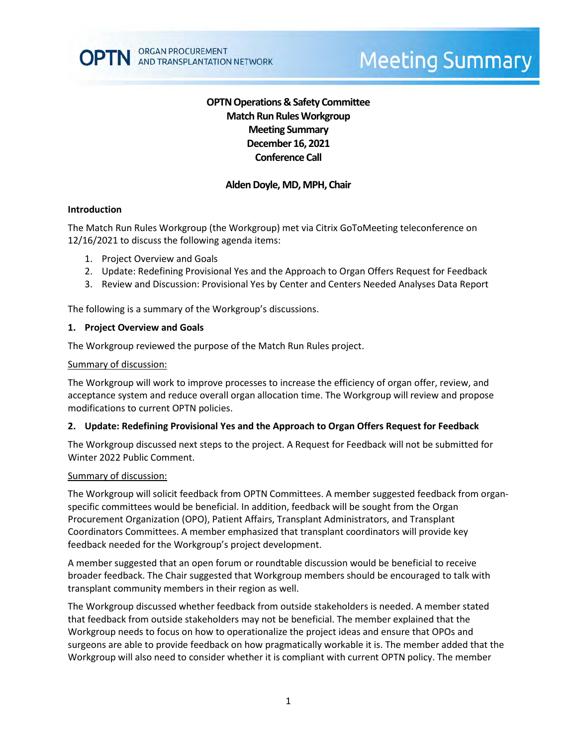# **OPTN Operations & Safety Committee Match Run RulesWorkgroup Meeting Summary December 16, 2021 Conference Call**

### **Alden Doyle, MD, MPH, Chair**

#### **Introduction**

The Match Run Rules Workgroup (the Workgroup) met via Citrix GoToMeeting teleconference on 12/16/2021 to discuss the following agenda items:

- 1. Project Overview and Goals
- 2. Update: Redefining Provisional Yes and the Approach to Organ Offers Request for Feedback
- 3. Review and Discussion: Provisional Yes by Center and Centers Needed Analyses Data Report

The following is a summary of the Workgroup's discussions.

#### **1. Project Overview and Goals**

The Workgroup reviewed the purpose of the Match Run Rules project.

#### Summary of discussion:

The Workgroup will work to improve processes to increase the efficiency of organ offer, review, and acceptance system and reduce overall organ allocation time. The Workgroup will review and propose modifications to current OPTN policies.

#### **2. Update: Redefining Provisional Yes and the Approach to Organ Offers Request for Feedback**

The Workgroup discussed next steps to the project. A Request for Feedback will not be submitted for Winter 2022 Public Comment.

#### Summary of discussion:

The Workgroup will solicit feedback from OPTN Committees. A member suggested feedback from organspecific committees would be beneficial. In addition, feedback will be sought from the Organ Procurement Organization (OPO), Patient Affairs, Transplant Administrators, and Transplant Coordinators Committees. A member emphasized that transplant coordinators will provide key feedback needed for the Workgroup's project development.

A member suggested that an open forum or roundtable discussion would be beneficial to receive broader feedback. The Chair suggested that Workgroup members should be encouraged to talk with transplant community members in their region as well.

The Workgroup discussed whether feedback from outside stakeholders is needed. A member stated that feedback from outside stakeholders may not be beneficial. The member explained that the Workgroup needs to focus on how to operationalize the project ideas and ensure that OPOs and surgeons are able to provide feedback on how pragmatically workable it is. The member added that the Workgroup will also need to consider whether it is compliant with current OPTN policy. The member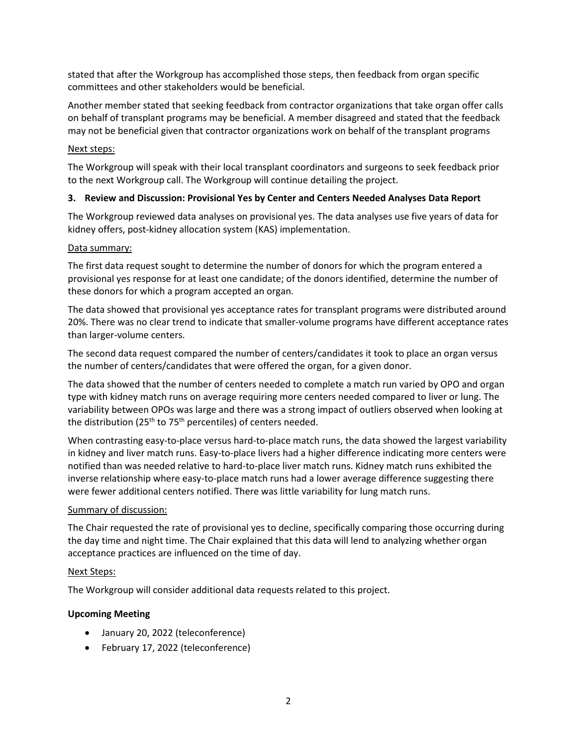stated that after the Workgroup has accomplished those steps, then feedback from organ specific committees and other stakeholders would be beneficial.

Another member stated that seeking feedback from contractor organizations that take organ offer calls on behalf of transplant programs may be beneficial. A member disagreed and stated that the feedback may not be beneficial given that contractor organizations work on behalf of the transplant programs

### Next steps:

The Workgroup will speak with their local transplant coordinators and surgeons to seek feedback prior to the next Workgroup call. The Workgroup will continue detailing the project.

### **3. Review and Discussion: Provisional Yes by Center and Centers Needed Analyses Data Report**

The Workgroup reviewed data analyses on provisional yes. The data analyses use five years of data for kidney offers, post-kidney allocation system (KAS) implementation.

### Data summary:

The first data request sought to determine the number of donors for which the program entered a provisional yes response for at least one candidate; of the donors identified, determine the number of these donors for which a program accepted an organ.

The data showed that provisional yes acceptance rates for transplant programs were distributed around 20%. There was no clear trend to indicate that smaller-volume programs have different acceptance rates than larger-volume centers.

The second data request compared the number of centers/candidates it took to place an organ versus the number of centers/candidates that were offered the organ, for a given donor.

The data showed that the number of centers needed to complete a match run varied by OPO and organ type with kidney match runs on average requiring more centers needed compared to liver or lung. The variability between OPOs was large and there was a strong impact of outliers observed when looking at the distribution (25<sup>th</sup> to 75<sup>th</sup> percentiles) of centers needed.

When contrasting easy-to-place versus hard-to-place match runs, the data showed the largest variability in kidney and liver match runs. Easy-to-place livers had a higher difference indicating more centers were notified than was needed relative to hard-to-place liver match runs. Kidney match runs exhibited the inverse relationship where easy-to-place match runs had a lower average difference suggesting there were fewer additional centers notified. There was little variability for lung match runs.

### Summary of discussion:

The Chair requested the rate of provisional yes to decline, specifically comparing those occurring during the day time and night time. The Chair explained that this data will lend to analyzing whether organ acceptance practices are influenced on the time of day.

### Next Steps:

The Workgroup will consider additional data requests related to this project.

## **Upcoming Meeting**

- January 20, 2022 (teleconference)
- February 17, 2022 (teleconference)